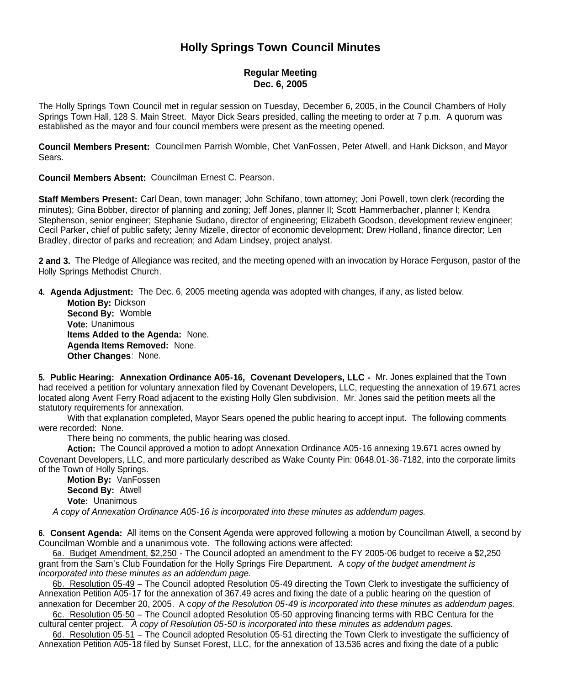# **Holly Springs Town Council Minutes**

## **Regular Meeting Dec. 6, 2005**

The Holly Springs Town Council met in regular session on Tuesday, December 6, 2005, in the Council Chambers of Holly Springs Town Hall, 128 S. Main Street. Mayor Dick Sears presided, calling the meeting to order at 7 p.m. A quorum was established as the mayor and four council members were present as the meeting opened.

**Council Members Present:** Councilmen Parrish Womble, Chet VanFossen, Peter Atwell, and Hank Dickson, and Mayor Sears.

**Council Members Absent:** Councilman Ernest C. Pearson.

**Staff Members Present:** Carl Dean, town manager; John Schifano, town attorney; Joni Powell, town clerk (recording the minutes); Gina Bobber, director of planning and zoning; Jeff Jones, planner II; Scott Hammerbacher, planner I; Kendra Stephenson, senior engineer; Stephanie Sudano, director of engineering; Elizabeth Goodson, development review engineer; Cecil Parker, chief of public safety; Jenny Mizelle, director of economic development; Drew Holland, finance director; Len Bradley, director of parks and recreation; and Adam Lindsey, project analyst.

**2 and 3.** The Pledge of Allegiance was recited, and the meeting opened with an invocation by Horace Ferguson, pastor of the Holly Springs Methodist Church.

**4. Agenda Adjustment:** The Dec. 6, 2005 meeting agenda was adopted with changes, if any, as listed below.

**Motion By:** Dickson **Second By:** Womble **Vote:** Unanimous **Items Added to the Agenda:** None. **Agenda Items Removed:** None. **Other Changes**: None.

**5. Public Hearing: Annexation Ordinance A05-16, Covenant Developers, LLC -** Mr. Jones explained that the Town had received a petition for voluntary annexation filed by Covenant Developers, LLC, requesting the annexation of 19.671 acres located along Avent Ferry Road adjacent to the existing Holly Glen subdivision. Mr. Jones said the petition meets all the statutory requirements for annexation.

With that explanation completed, Mayor Sears opened the public hearing to accept input. The following comments were recorded: None.

There being no comments, the public hearing was closed.

**Action:** The Council approved a motion to adopt Annexation Ordinance A05-16 annexing 19.671 acres owned by Covenant Developers, LLC, and more particularly described as Wake County Pin: 0648.01-36-7182, into the corporate limits of the Town of Holly Springs.

**Motion By:** VanFossen **Second By:** Atwell **Vote:** Unanimous

*A copy of Annexation Ordinance A05-16 is incorporated into these minutes as addendum pages.*

**6. Consent Agenda:** All items on the Consent Agenda were approved following a motion by Councilman Atwell, a second by Councilman Womble and a unanimous vote. The following actions were affected:

6a. Budget Amendment, \$2,250 - The Council adopted an amendment to the FY 2005-06 budget to receive a \$2,250 grant from the Sam's Club Foundation for the Holly Springs Fire Department. A c*opy of the budget amendment is incorporated into these minutes as an addendum page.*

6b. Resolution 05-49 – The Council adopted Resolution 05-49 directing the Town Clerk to investigate the sufficiency of Annexation Petition A05-17 for the annexation of 367.49 acres and fixing the date of a public hearing on the question of annexation for December 20, 2005. A c*opy of the Resolution 05-49 is incorporated into these minutes as addendum pages.*

6c. Resolution 05-50 – The Council adopted Resolution 05-50 approving financing terms with RBC Centura for the cultural center project. *A copy of Resolution 05-50 is incorporated into these minutes as addendum pages.*

6d. Resolution 05-51 – The Council adopted Resolution 05-51 directing the Town Clerk to investigate the sufficiency of Annexation Petition A05-18 filed by Sunset Forest, LLC, for the annexation of 13.536 acres and fixing the date of a public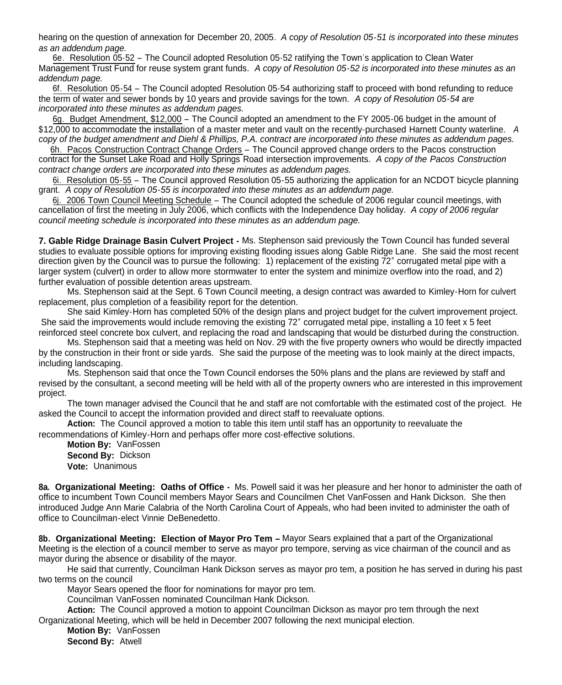hearing on the question of annexation for December 20, 2005. *A copy of Resolution 05-51 is incorporated into these minutes as an addendum page.*

6e. Resolution 05-52 – The Council adopted Resolution 05-52 ratifying the Town's application to Clean Water Management Trust Fund for reuse system grant funds. *A copy of Resolution 05-52 is incorporated into these minutes as an addendum page.*

6f. Resolution 05-54 – The Council adopted Resolution 05-54 authorizing staff to proceed with bond refunding to reduce the term of water and sewer bonds by 10 years and provide savings for the town. *A copy of Resolution 05-54 are incorporated into these minutes as addendum pages.*

6g. Budget Amendment, \$12,000 – The Council adopted an amendment to the FY 2005-06 budget in the amount of \$12,000 to accommodate the installation of a master meter and vault on the recently-purchased Harnett County waterline. *A copy of the budget amendment and Diehl & Phillips, P.A. contract are incorporated into these minutes as addendum pages.*

6h. Pacos Construction Contract Change Orders – The Council approved change orders to the Pacos construction contract for the Sunset Lake Road and Holly Springs Road intersection improvements. *A copy of the Pacos Construction contract change orders are incorporated into these minutes as addendum pages.*

6i. Resolution 05-55 – The Council approved Resolution 05-55 authorizing the application for an NCDOT bicycle planning grant. *A copy of Resolution 05-55 is incorporated into these minutes as an addendum page.*

6j. 2006 Town Council Meeting Schedule – The Council adopted the schedule of 2006 regular council meetings, with cancellation of first the meeting in July 2006, which conflicts with the Independence Day holiday. *A copy of 2006 regular council meeting schedule is incorporated into these minutes as an addendum page.*

**7. Gable Ridge Drainage Basin Culvert Project -** Ms. Stephenson said previously the Town Council has funded several studies to evaluate possible options for improving existing flooding issues along Gable Ridge Lane. She said the most recent direction given by the Council was to pursue the following: 1) replacement of the existing 72" corrugated metal pipe with a larger system (culvert) in order to allow more stormwater to enter the system and minimize overflow into the road, and 2) further evaluation of possible detention areas upstream.

Ms. Stephenson said at the Sept. 6 Town Council meeting, a design contract was awarded to Kimley-Horn for culvert replacement, plus completion of a feasibility report for the detention.

She said Kimley-Horn has completed 50% of the design plans and project budget for the culvert improvement project. She said the improvements would include removing the existing 72" corrugated metal pipe, installing a 10 feet x 5 feet reinforced steel concrete box culvert, and replacing the road and landscaping that would be disturbed during the construction.

Ms. Stephenson said that a meeting was held on Nov. 29 with the five property owners who would be directly impacted by the construction in their front or side yards. She said the purpose of the meeting was to look mainly at the direct impacts, including landscaping.

Ms. Stephenson said that once the Town Council endorses the 50% plans and the plans are reviewed by staff and revised by the consultant, a second meeting will be held with all of the property owners who are interested in this improvement project.

The town manager advised the Council that he and staff are not comfortable with the estimated cost of the project. He asked the Council to accept the information provided and direct staff to reevaluate options.

**Action:** The Council approved a motion to table this item until staff has an opportunity to reevaluate the recommendations of Kimley-Horn and perhaps offer more cost-effective solutions.

**Motion By:** VanFossen **Second By:** Dickson **Vote:** Unanimous

**8a. Organizational Meeting: Oaths of Office -** Ms. Powell said it was her pleasure and her honor to administer the oath of office to incumbent Town Council members Mayor Sears and Councilmen Chet VanFossen and Hank Dickson. She then introduced Judge Ann Marie Calabria of the North Carolina Court of Appeals, who had been invited to administer the oath of office to Councilman-elect Vinnie DeBenedetto.

**8b. Organizational Meeting: Election of Mayor Pro Tem –** Mayor Sears explained that a part of the Organizational Meeting is the election of a council member to serve as mayor pro tempore, serving as vice chairman of the council and as mayor during the absence or disability of the mayor.

He said that currently, Councilman Hank Dickson serves as mayor pro tem, a position he has served in during his past two terms on the council

Mayor Sears opened the floor for nominations for mayor pro tem.

Councilman VanFossen nominated Councilman Hank Dickson.

**Action:** The Council approved a motion to appoint Councilman Dickson as mayor pro tem through the next

Organizational Meeting, which will be held in December 2007 following the next municipal election.

**Motion By:** VanFossen **Second By:** Atwell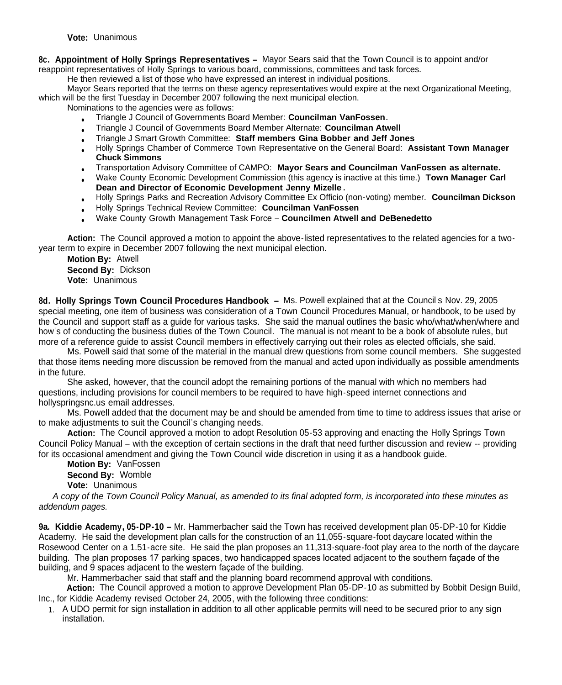**8c. Appointment of Holly Springs Representatives –** Mayor Sears said that the Town Council is to appoint and/or reappoint representatives of Holly Springs to various board, commissions, committees and task forces.

He then reviewed a list of those who have expressed an interest in individual positions.

Mayor Sears reported that the terms on these agency representatives would expire at the next Organizational Meeting, which will be the first Tuesday in December 2007 following the next municipal election.

Nominations to the agencies were as follows:

- Triangle J Council of Governments Board Member: **Councilman VanFossen.**
- Triangle J Council of Governments Board Member Alternate: **Councilman Atwell**
- Triangle J Smart Growth Committee: **Staff members Gina Bobber and Jeff Jones**
- Holly Springs Chamber of Commerce Town Representative on the General Board: **Assistant Town Manager Chuck Simmons**
- Transportation Advisory Committee of CAMPO: **Mayor Sears and Councilman VanFossen as alternate.**
- Wake County Economic Development Commission (this agency is inactive at this time.) **Town Manager Carl Dean and Director of Economic Development Jenny Mizelle .**
- Holly Springs Parks and Recreation Advisory Committee Ex Officio (non-voting) member. **Councilman Dickson**
- Holly Springs Technical Review Committee: **Councilman VanFossen**
- Wake County Growth Management Task Force **Councilmen Atwell and DeBenedetto**

**Action:** The Council approved a motion to appoint the above-listed representatives to the related agencies for a twoyear term to expire in December 2007 following the next municipal election.

**Motion By:** Atwell **Second By:** Dickson **Vote:** Unanimous

**8d. Holly Springs Town Council Procedures Handbook –** Ms. Powell explained that at the Council's Nov. 29, 2005 special meeting, one item of business was consideration of a Town Council Procedures Manual, or handbook, to be used by the Council and support staff as a guide for various tasks. She said the manual outlines the basic who/what/when/where and how's of conducting the business duties of the Town Council. The manual is not meant to be a book of absolute rules, but more of a reference guide to assist Council members in effectively carrying out their roles as elected officials, she said.

Ms. Powell said that some of the material in the manual drew questions from some council members. She suggested that those items needing more discussion be removed from the manual and acted upon individually as possible amendments in the future.

She asked, however, that the council adopt the remaining portions of the manual with which no members had questions, including provisions for council members to be required to have high-speed internet connections and hollyspringsnc.us email addresses.

Ms. Powell added that the document may be and should be amended from time to time to address issues that arise or to make adjustments to suit the Council's changing needs.

**Action:** The Council approved a motion to adopt Resolution 05-53 approving and enacting the Holly Springs Town Council Policy Manual – with the exception of certain sections in the draft that need further discussion and review -- providing for its occasional amendment and giving the Town Council wide discretion in using it as a handbook guide.

**Motion By:** VanFossen **Second By:** Womble **Vote:** Unanimous

*A copy of the Town Council Policy Manual, as amended to its final adopted form, is incorporated into these minutes as addendum pages.*

**9a. Kiddie Academy, 05-DP-10 –** Mr. Hammerbacher said the Town has received development plan 05-DP-10 for Kiddie Academy. He said the development plan calls for the construction of an 11,055-square-foot daycare located within the Rosewood Center on a 1.51-acre site. He said the plan proposes an 11,313-square-foot play area to the north of the daycare building. The plan proposes 17 parking spaces, two handicapped spaces located adjacent to the southern façade of the building, and 9 spaces adjacent to the western façade of the building.

Mr. Hammerbacher said that staff and the planning board recommend approval with conditions.

**Action:** The Council approved a motion to approve Development Plan 05-DP-10 as submitted by Bobbit Design Build, Inc., for Kiddie Academy revised October 24, 2005, with the following three conditions:

1. A UDO permit for sign installation in addition to all other applicable permits will need to be secured prior to any sign installation.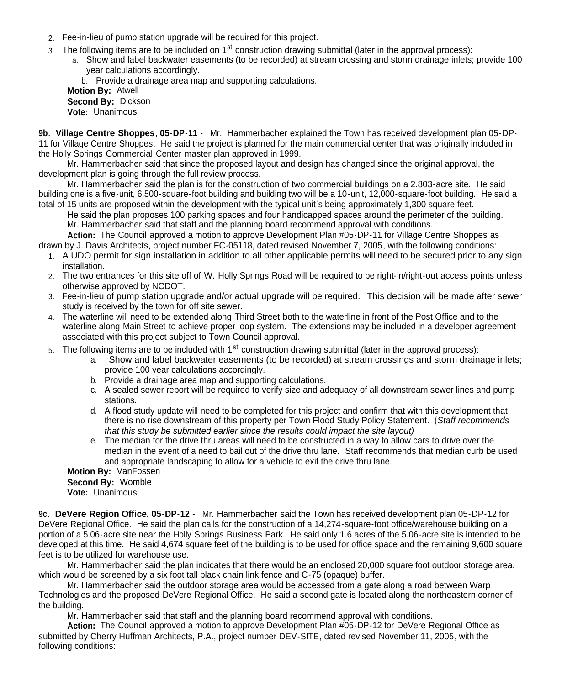- 2. Fee-in-lieu of pump station upgrade will be required for this project.
- 3. The following items are to be included on 1<sup>st</sup> construction drawing submittal (later in the approval process):
	- a. Show and label backwater easements (to be recorded) at stream crossing and storm drainage inlets; provide 100 year calculations accordingly.
		- b. Provide a drainage area map and supporting calculations.

**Motion By:** Atwell **Second By:** Dickson **Vote:** Unanimous

**9b. Village Centre Shoppes, 05-DP-11 -** Mr. Hammerbacher explained the Town has received development plan 05-DP-11 for Village Centre Shoppes. He said the project is planned for the main commercial center that was originally included in the Holly Springs Commercial Center master plan approved in 1999.

Mr. Hammerbacher said that since the proposed layout and design has changed since the original approval, the development plan is going through the full review process.

Mr. Hammerbacher said the plan is for the construction of two commercial buildings on a 2.803-acre site. He said building one is a five-unit, 6,500-square-foot building and building two will be a 10-unit, 12,000-square-foot building. He said a total of 15 units are proposed within the development with the typical unit's being approximately 1,300 square feet.

He said the plan proposes 100 parking spaces and four handicapped spaces around the perimeter of the building. Mr. Hammerbacher said that staff and the planning board recommend approval with conditions.

**Action:** The Council approved a motion to approve Development Plan #05-DP-11 for Village Centre Shoppes as drawn by J. Davis Architects, project number FC-05118, dated revised November 7, 2005, with the following conditions:

- 1. A UDO permit for sign installation in addition to all other applicable permits will need to be secured prior to any sign installation.
- 2. The two entrances for this site off of W. Holly Springs Road will be required to be right-in/right-out access points unless otherwise approved by NCDOT.
- 3. Fee-in-lieu of pump station upgrade and/or actual upgrade will be required. This decision will be made after sewer study is received by the town for off site sewer.
- 4. The waterline will need to be extended along Third Street both to the waterline in front of the Post Office and to the waterline along Main Street to achieve proper loop system. The extensions may be included in a developer agreement associated with this project subject to Town Council approval.
- 5. The following items are to be included with 1<sup>st</sup> construction drawing submittal (later in the approval process):
	- a. Show and label backwater easements (to be recorded) at stream crossings and storm drainage inlets; provide 100 year calculations accordingly.
	- b. Provide a drainage area map and supporting calculations.
	- c. A sealed sewer report will be required to verify size and adequacy of all downstream sewer lines and pump stations.
	- d. A flood study update will need to be completed for this project and confirm that with this development that there is no rise downstream of this property per Town Flood Study Policy Statement. (*Staff recommends that this study be submitted earlier since the results could impact the site layout)*
	- e. The median for the drive thru areas will need to be constructed in a way to allow cars to drive over the median in the event of a need to bail out of the drive thru lane. Staff recommends that median curb be used and appropriate landscaping to allow for a vehicle to exit the drive thru lane.

**Motion By:** VanFossen

**Second By:** Womble

**Vote:** Unanimous

**9c. DeVere Region Office, 05-DP-12 -** Mr. Hammerbacher said the Town has received development plan 05-DP-12 for DeVere Regional Office. He said the plan calls for the construction of a 14,274-square-foot office/warehouse building on a portion of a 5.06-acre site near the Holly Springs Business Park. He said only 1.6 acres of the 5.06-acre site is intended to be developed at this time. He said 4,674 square feet of the building is to be used for office space and the remaining 9,600 square feet is to be utilized for warehouse use.

Mr. Hammerbacher said the plan indicates that there would be an enclosed 20,000 square foot outdoor storage area, which would be screened by a six foot tall black chain link fence and C-75 (opaque) buffer.

Mr. Hammerbacher said the outdoor storage area would be accessed from a gate along a road between Warp Technologies and the proposed DeVere Regional Office. He said a second gate is located along the northeastern corner of the building.

Mr. Hammerbacher said that staff and the planning board recommend approval with conditions.

**Action:** The Council approved a motion to approve Development Plan #05-DP-12 for DeVere Regional Office as submitted by Cherry Huffman Architects, P.A., project number DEV-SITE, dated revised November 11, 2005, with the following conditions: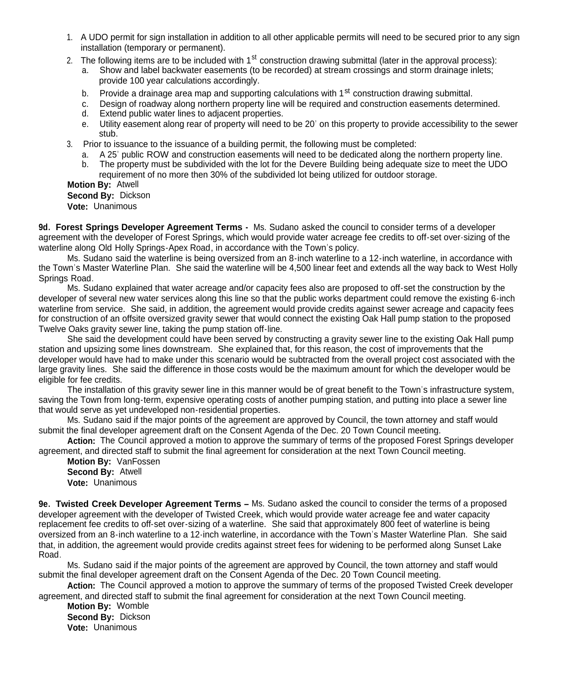- 1. A UDO permit for sign installation in addition to all other applicable permits will need to be secured prior to any sign installation (temporary or permanent).
- 2. The following items are to be included with 1<sup>st</sup> construction drawing submittal (later in the approval process):
	- a. Show and label backwater easements (to be recorded) at stream crossings and storm drainage inlets: provide 100 year calculations accordingly.
	- b. Provide a drainage area map and supporting calculations with  $1<sup>st</sup>$  construction drawing submittal.
	- c. Design of roadway along northern property line will be required and construction easements determined.
	- d. Extend public water lines to adjacent properties.
	- e. Utility easement along rear of property will need to be 20' on this property to provide accessibility to the sewer stub.
- 3. Prior to issuance to the issuance of a building permit, the following must be completed:
	- a. A 25' public ROW and construction easements will need to be dedicated along the northern property line.
	- b. The property must be subdivided with the lot for the Devere Building being adequate size to meet the UDO
	- requirement of no more then 30% of the subdivided lot being utilized for outdoor storage.

**Motion By:** Atwell **Second By:** Dickson

**Vote:** Unanimous

**9d. Forest Springs Developer Agreement Terms -** Ms. Sudano asked the council to consider terms of a developer agreement with the developer of Forest Springs, which would provide water acreage fee credits to off-set over-sizing of the waterline along Old Holly Springs-Apex Road, in accordance with the Town's policy.

Ms. Sudano said the waterline is being oversized from an 8-inch waterline to a 12-inch waterline, in accordance with the Town's Master Waterline Plan. She said the waterline will be 4,500 linear feet and extends all the way back to West Holly Springs Road.

Ms. Sudano explained that water acreage and/or capacity fees also are proposed to off-set the construction by the developer of several new water services along this line so that the public works department could remove the existing 6-inch waterline from service. She said, in addition, the agreement would provide credits against sewer acreage and capacity fees for construction of an offsite oversized gravity sewer that would connect the existing Oak Hall pump station to the proposed Twelve Oaks gravity sewer line, taking the pump station off-line.

She said the development could have been served by constructing a gravity sewer line to the existing Oak Hall pump station and upsizing some lines downstream. She explained that, for this reason, the cost of improvements that the developer would have had to make under this scenario would be subtracted from the overall project cost associated with the large gravity lines. She said the difference in those costs would be the maximum amount for which the developer would be eligible for fee credits.

The installation of this gravity sewer line in this manner would be of great benefit to the Town's infrastructure system, saving the Town from long-term, expensive operating costs of another pumping station, and putting into place a sewer line that would serve as yet undeveloped non-residential properties.

Ms. Sudano said if the major points of the agreement are approved by Council, the town attorney and staff would submit the final developer agreement draft on the Consent Agenda of the Dec. 20 Town Council meeting.

**Action:** The Council approved a motion to approve the summary of terms of the proposed Forest Springs developer agreement, and directed staff to submit the final agreement for consideration at the next Town Council meeting.

**Motion By:** VanFossen **Second By:** Atwell **Vote:** Unanimous

**9e. Twisted Creek Developer Agreement Terms –** Ms. Sudano asked the council to consider the terms of a proposed developer agreement with the developer of Twisted Creek, which would provide water acreage fee and water capacity replacement fee credits to off-set over-sizing of a waterline. She said that approximately 800 feet of waterline is being oversized from an 8-inch waterline to a 12-inch waterline, in accordance with the Town's Master Waterline Plan. She said that, in addition, the agreement would provide credits against street fees for widening to be performed along Sunset Lake Road.

Ms. Sudano said if the major points of the agreement are approved by Council, the town attorney and staff would submit the final developer agreement draft on the Consent Agenda of the Dec. 20 Town Council meeting.

**Action:** The Council approved a motion to approve the summary of terms of the proposed Twisted Creek developer agreement, and directed staff to submit the final agreement for consideration at the next Town Council meeting.

**Motion By:** Womble **Second By:** Dickson **Vote:** Unanimous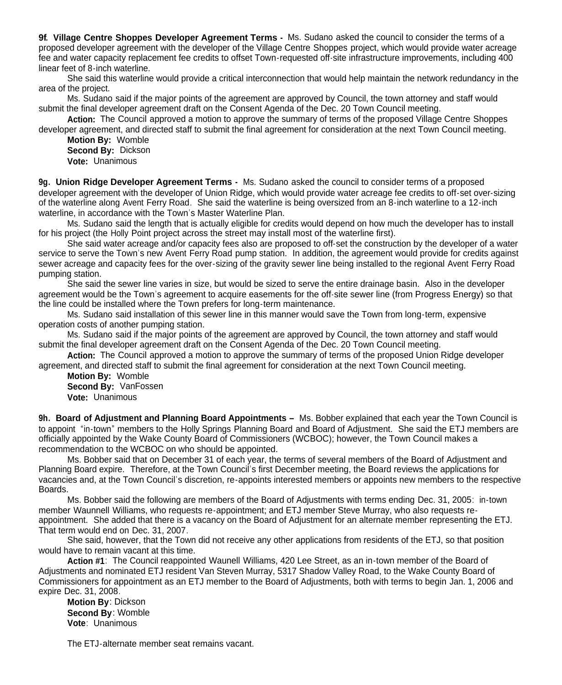**9f. Village Centre Shoppes Developer Agreement Terms -** Ms. Sudano asked the council to consider the terms of a proposed developer agreement with the developer of the Village Centre Shoppes project, which would provide water acreage fee and water capacity replacement fee credits to offset Town-requested off-site infrastructure improvements, including 400 linear feet of 8-inch waterline.

She said this waterline would provide a critical interconnection that would help maintain the network redundancy in the area of the project.

Ms. Sudano said if the major points of the agreement are approved by Council, the town attorney and staff would submit the final developer agreement draft on the Consent Agenda of the Dec. 20 Town Council meeting.

**Action:** The Council approved a motion to approve the summary of terms of the proposed Village Centre Shoppes developer agreement, and directed staff to submit the final agreement for consideration at the next Town Council meeting.

**Motion By:** Womble **Second By:** Dickson **Vote:** Unanimous

**9g. Union Ridge Developer Agreement Terms -** Ms. Sudano asked the council to consider terms of a proposed developer agreement with the developer of Union Ridge, which would provide water acreage fee credits to off-set over-sizing of the waterline along Avent Ferry Road. She said the waterline is being oversized from an 8-inch waterline to a 12-inch waterline, in accordance with the Town's Master Waterline Plan.

Ms. Sudano said the length that is actually eligible for credits would depend on how much the developer has to install for his project (the Holly Point project across the street may install most of the waterline first).

She said water acreage and/or capacity fees also are proposed to off-set the construction by the developer of a water service to serve the Town's new Avent Ferry Road pump station. In addition, the agreement would provide for credits against sewer acreage and capacity fees for the over-sizing of the gravity sewer line being installed to the regional Avent Ferry Road pumping station.

She said the sewer line varies in size, but would be sized to serve the entire drainage basin. Also in the developer agreement would be the Town's agreement to acquire easements for the off-site sewer line (from Progress Energy) so that the line could be installed where the Town prefers for long-term maintenance.

Ms. Sudano said installation of this sewer line in this manner would save the Town from long-term, expensive operation costs of another pumping station.

Ms. Sudano said if the major points of the agreement are approved by Council, the town attorney and staff would submit the final developer agreement draft on the Consent Agenda of the Dec. 20 Town Council meeting.

**Action:** The Council approved a motion to approve the summary of terms of the proposed Union Ridge developer agreement, and directed staff to submit the final agreement for consideration at the next Town Council meeting.

**Motion By:** Womble **Second By:** VanFossen **Vote:** Unanimous

**9h. Board of Adjustment and Planning Board Appointments –** Ms. Bobber explained that each year the Town Council is to appoint "in-town" members to the Holly Springs Planning Board and Board of Adjustment. She said the ETJ members are officially appointed by the Wake County Board of Commissioners (WCBOC); however, the Town Council makes a recommendation to the WCBOC on who should be appointed.

Ms. Bobber said that on December 31 of each year, the terms of several members of the Board of Adjustment and Planning Board expire. Therefore, at the Town Council's first December meeting, the Board reviews the applications for vacancies and, at the Town Council's discretion, re-appoints interested members or appoints new members to the respective Boards.

Ms. Bobber said the following are members of the Board of Adjustments with terms ending Dec. 31, 2005: in-town member Waunnell Williams, who requests re-appointment; and ETJ member Steve Murray, who also requests reappointment. She added that there is a vacancy on the Board of Adjustment for an alternate member representing the ETJ. That term would end on Dec. 31, 2007.

She said, however, that the Town did not receive any other applications from residents of the ETJ, so that position would have to remain vacant at this time.

**Action #1**: The Council reappointed Waunell Williams, 420 Lee Street, as an in-town member of the Board of Adjustments and nominated ETJ resident Van Steven Murray, 5317 Shadow Valley Road, to the Wake County Board of Commissioners for appointment as an ETJ member to the Board of Adjustments, both with terms to begin Jan. 1, 2006 and expire Dec. 31, 2008.

**Motion By**: Dickson **Second By**: Womble **Vote**: Unanimous

The ETJ-alternate member seat remains vacant.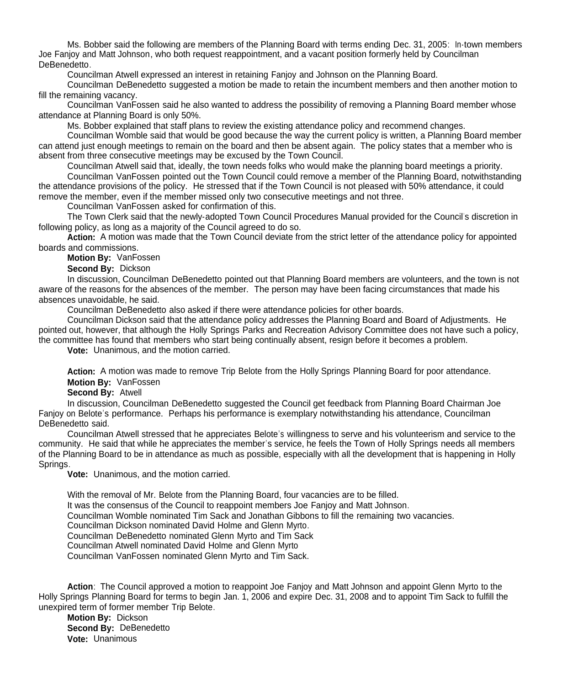Ms. Bobber said the following are members of the Planning Board with terms ending Dec. 31, 2005: In-town members Joe Fanjoy and Matt Johnson, who both request reappointment, and a vacant position formerly held by Councilman DeBenedetto.

Councilman Atwell expressed an interest in retaining Fanjoy and Johnson on the Planning Board.

Councilman DeBenedetto suggested a motion be made to retain the incumbent members and then another motion to fill the remaining vacancy.

Councilman VanFossen said he also wanted to address the possibility of removing a Planning Board member whose attendance at Planning Board is only 50%.

Ms. Bobber explained that staff plans to review the existing attendance policy and recommend changes.

Councilman Womble said that would be good because the way the current policy is written, a Planning Board member can attend just enough meetings to remain on the board and then be absent again. The policy states that a member who is absent from three consecutive meetings may be excused by the Town Council.

Councilman Atwell said that, ideally, the town needs folks who would make the planning board meetings a priority. Councilman VanFossen pointed out the Town Council could remove a member of the Planning Board, notwithstanding the attendance provisions of the policy. He stressed that if the Town Council is not pleased with 50% attendance, it could remove the member, even if the member missed only two consecutive meetings and not three.

Councilman VanFossen asked for confirmation of this.

The Town Clerk said that the newly-adopted Town Council Procedures Manual provided for the Council's discretion in following policy, as long as a majority of the Council agreed to do so.

**Action:** A motion was made that the Town Council deviate from the strict letter of the attendance policy for appointed boards and commissions.

**Motion By:** VanFossen

**Second By:** Dickson

In discussion, Councilman DeBenedetto pointed out that Planning Board members are volunteers, and the town is not aware of the reasons for the absences of the member. The person may have been facing circumstances that made his absences unavoidable, he said.

Councilman DeBenedetto also asked if there were attendance policies for other boards.

Councilman Dickson said that the attendance policy addresses the Planning Board and Board of Adjustments. He pointed out, however, that although the Holly Springs Parks and Recreation Advisory Committee does not have such a policy, the committee has found that members who start being continually absent, resign before it becomes a problem.

**Vote:** Unanimous, and the motion carried.

**Action:** A motion was made to remove Trip Belote from the Holly Springs Planning Board for poor attendance. **Motion By:** VanFossen

**Second By:** Atwell

In discussion, Councilman DeBenedetto suggested the Council get feedback from Planning Board Chairman Joe Fanjoy on Belote's performance. Perhaps his performance is exemplary notwithstanding his attendance, Councilman DeBenedetto said.

Councilman Atwell stressed that he appreciates Belote's willingness to serve and his volunteerism and service to the community. He said that while he appreciates the member's service, he feels the Town of Holly Springs needs all members of the Planning Board to be in attendance as much as possible, especially with all the development that is happening in Holly Springs.

**Vote:** Unanimous, and the motion carried.

With the removal of Mr. Belote from the Planning Board, four vacancies are to be filled.

It was the consensus of the Council to reappoint members Joe Fanjoy and Matt Johnson.

Councilman Womble nominated Tim Sack and Jonathan Gibbons to fill the remaining two vacancies.

Councilman Dickson nominated David Holme and Glenn Myrto.

Councilman DeBenedetto nominated Glenn Myrto and Tim Sack

Councilman Atwell nominated David Holme and Glenn Myrto

Councilman VanFossen nominated Glenn Myrto and Tim Sack.

**Action**: The Council approved a motion to reappoint Joe Fanjoy and Matt Johnson and appoint Glenn Myrto to the Holly Springs Planning Board for terms to begin Jan. 1, 2006 and expire Dec. 31, 2008 and to appoint Tim Sack to fulfill the unexpired term of former member Trip Belote.

**Motion By:** Dickson **Second By:** DeBenedetto **Vote:** Unanimous